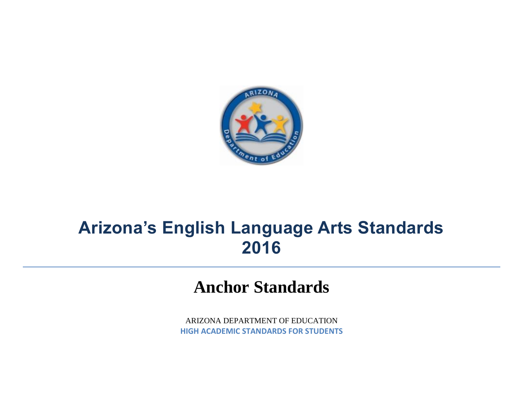

## **Arizona's English Language Arts Standards 2016**

## **Anchor Standards**

ARIZONA DEPARTMENT OF EDUCATION **HIGH ACADEMIC STANDARDS FOR STUDENTS**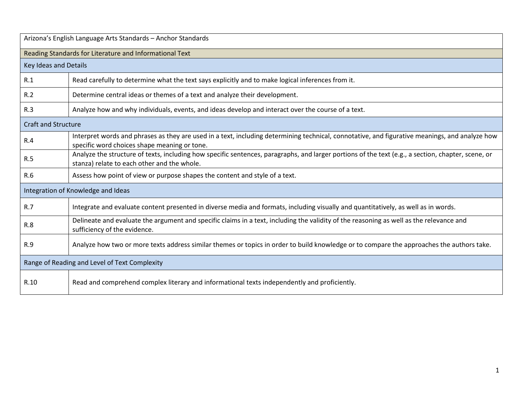| Arizona's English Language Arts Standards - Anchor Standards |                                                                                                                                                                                                   |  |
|--------------------------------------------------------------|---------------------------------------------------------------------------------------------------------------------------------------------------------------------------------------------------|--|
| Reading Standards for Literature and Informational Text      |                                                                                                                                                                                                   |  |
| Key Ideas and Details                                        |                                                                                                                                                                                                   |  |
| R.1                                                          | Read carefully to determine what the text says explicitly and to make logical inferences from it.                                                                                                 |  |
| R.2                                                          | Determine central ideas or themes of a text and analyze their development.                                                                                                                        |  |
| R.3                                                          | Analyze how and why individuals, events, and ideas develop and interact over the course of a text.                                                                                                |  |
| <b>Craft and Structure</b>                                   |                                                                                                                                                                                                   |  |
| R.4                                                          | Interpret words and phrases as they are used in a text, including determining technical, connotative, and figurative meanings, and analyze how<br>specific word choices shape meaning or tone.    |  |
| R.5                                                          | Analyze the structure of texts, including how specific sentences, paragraphs, and larger portions of the text (e.g., a section, chapter, scene, or<br>stanza) relate to each other and the whole. |  |
| R.6                                                          | Assess how point of view or purpose shapes the content and style of a text.                                                                                                                       |  |
| Integration of Knowledge and Ideas                           |                                                                                                                                                                                                   |  |
| R.7                                                          | Integrate and evaluate content presented in diverse media and formats, including visually and quantitatively, as well as in words.                                                                |  |
| R.8                                                          | Delineate and evaluate the argument and specific claims in a text, including the validity of the reasoning as well as the relevance and<br>sufficiency of the evidence.                           |  |
| R.9                                                          | Analyze how two or more texts address similar themes or topics in order to build knowledge or to compare the approaches the authors take.                                                         |  |
| Range of Reading and Level of Text Complexity                |                                                                                                                                                                                                   |  |
| R.10                                                         | Read and comprehend complex literary and informational texts independently and proficiently.                                                                                                      |  |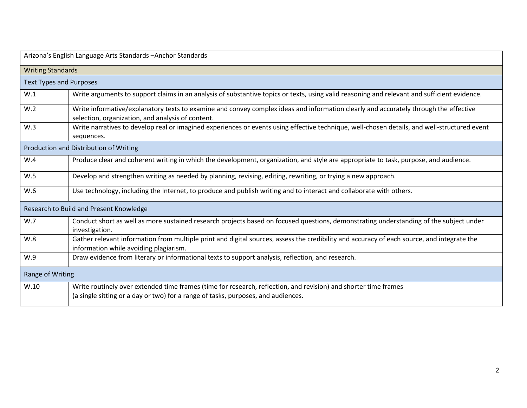| Arizona's English Language Arts Standards - Anchor Standards |                                                                                                                                                                                                      |  |
|--------------------------------------------------------------|------------------------------------------------------------------------------------------------------------------------------------------------------------------------------------------------------|--|
| <b>Writing Standards</b>                                     |                                                                                                                                                                                                      |  |
| <b>Text Types and Purposes</b>                               |                                                                                                                                                                                                      |  |
| W.1                                                          | Write arguments to support claims in an analysis of substantive topics or texts, using valid reasoning and relevant and sufficient evidence.                                                         |  |
| W.2                                                          | Write informative/explanatory texts to examine and convey complex ideas and information clearly and accurately through the effective<br>selection, organization, and analysis of content.            |  |
| W.3                                                          | Write narratives to develop real or imagined experiences or events using effective technique, well-chosen details, and well-structured event<br>sequences.                                           |  |
| Production and Distribution of Writing                       |                                                                                                                                                                                                      |  |
| W.4                                                          | Produce clear and coherent writing in which the development, organization, and style are appropriate to task, purpose, and audience.                                                                 |  |
| W.5                                                          | Develop and strengthen writing as needed by planning, revising, editing, rewriting, or trying a new approach.                                                                                        |  |
| W.6                                                          | Use technology, including the Internet, to produce and publish writing and to interact and collaborate with others.                                                                                  |  |
| Research to Build and Present Knowledge                      |                                                                                                                                                                                                      |  |
| W.7                                                          | Conduct short as well as more sustained research projects based on focused questions, demonstrating understanding of the subject under<br>investigation.                                             |  |
| W.8                                                          | Gather relevant information from multiple print and digital sources, assess the credibility and accuracy of each source, and integrate the<br>information while avoiding plagiarism.                 |  |
| W.9                                                          | Draw evidence from literary or informational texts to support analysis, reflection, and research.                                                                                                    |  |
| Range of Writing                                             |                                                                                                                                                                                                      |  |
| W.10                                                         | Write routinely over extended time frames (time for research, reflection, and revision) and shorter time frames<br>(a single sitting or a day or two) for a range of tasks, purposes, and audiences. |  |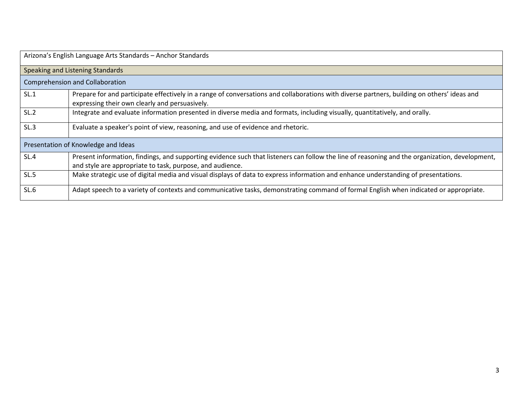| Arizona's English Language Arts Standards - Anchor Standards |                                                                                                                                                                                                             |  |
|--------------------------------------------------------------|-------------------------------------------------------------------------------------------------------------------------------------------------------------------------------------------------------------|--|
| Speaking and Listening Standards                             |                                                                                                                                                                                                             |  |
| <b>Comprehension and Collaboration</b>                       |                                                                                                                                                                                                             |  |
| SL.1                                                         | Prepare for and participate effectively in a range of conversations and collaborations with diverse partners, building on others' ideas and<br>expressing their own clearly and persuasively.               |  |
| SL.2                                                         | Integrate and evaluate information presented in diverse media and formats, including visually, quantitatively, and orally.                                                                                  |  |
| SL.3                                                         | Evaluate a speaker's point of view, reasoning, and use of evidence and rhetoric.                                                                                                                            |  |
| Presentation of Knowledge and Ideas                          |                                                                                                                                                                                                             |  |
| SL.4                                                         | Present information, findings, and supporting evidence such that listeners can follow the line of reasoning and the organization, development,<br>and style are appropriate to task, purpose, and audience. |  |
| SL.5                                                         | Make strategic use of digital media and visual displays of data to express information and enhance understanding of presentations.                                                                          |  |
| SL.6                                                         | Adapt speech to a variety of contexts and communicative tasks, demonstrating command of formal English when indicated or appropriate.                                                                       |  |